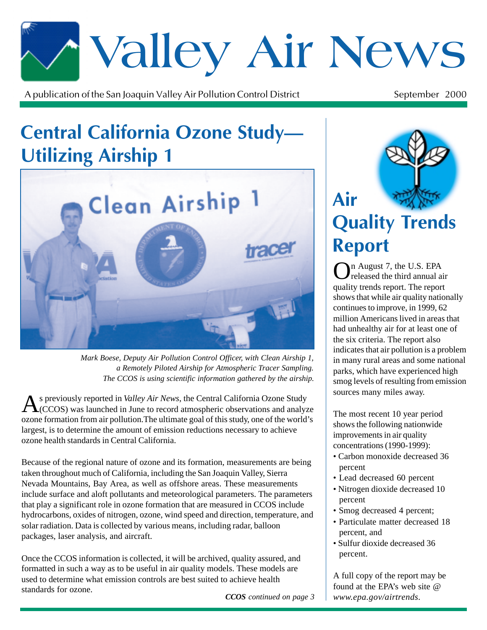# \*Valley Air News

A publication of the San Joaquin Valley Air Pollution Control District  $\mathfrak{t}$  September 2000

### Central California Ozone Study— **Utilizing Airship 1**



*Mark Boese, Deputy Air Pollution Control Officer, with Clean Airship 1, a Remotely Piloted Airship for Atmospheric Tracer Sampling. The CCOS is using scientific information gathered by the airship.*

As previously reported in *Valley Air News*, the Central California Ozone Study<br>(CCOS) was launched in June to record atmospheric observations and analyze ozone formation from air pollution.The ultimate goal of this study, one of the world's largest, is to determine the amount of emission reductions necessary to achieve ozone health standards in Central California.

Because of the regional nature of ozone and its formation, measurements are being taken throughout much of California, including the San Joaquin Valley, Sierra Nevada Mountains, Bay Area, as well as offshore areas. These measurements include surface and aloft pollutants and meteorological parameters. The parameters that play a significant role in ozone formation that are measured in CCOS include hydrocarbons, oxides of nitrogen, ozone, wind speed and direction, temperature, and solar radiation. Data is collected by various means, including radar, balloon packages, laser analysis, and aircraft.

Once the CCOS information is collected, it will be archived, quality assured, and formatted in such a way as to be useful in air quality models. These models are used to determine what emission controls are best suited to achieve health standards for ozone.

*CCOS continued on page 3*



In August 7, the U.S. EPA released the third annual air quality trends report. The report shows that while air quality nationally continues to improve, in 1999, 62 million Americans lived in areas that had unhealthy air for at least one of the six criteria. The report also indicates that air pollution is a problem in many rural areas and some national parks, which have experienced high smog levels of resulting from emission sources many miles away.

The most recent 10 year period shows the following nationwide improvements in air quality concentrations (1990-1999):

- Carbon monoxide decreased 36 percent
- Lead decreased 60 percent
- Nitrogen dioxide decreased 10 percent
- Smog decreased 4 percent;
- Particulate matter decreased 18 percent, and
- Sulfur dioxide decreased 36 percent.

A full copy of the report may be found at the EPA's web site @ *www.epa.gov/airtrends.*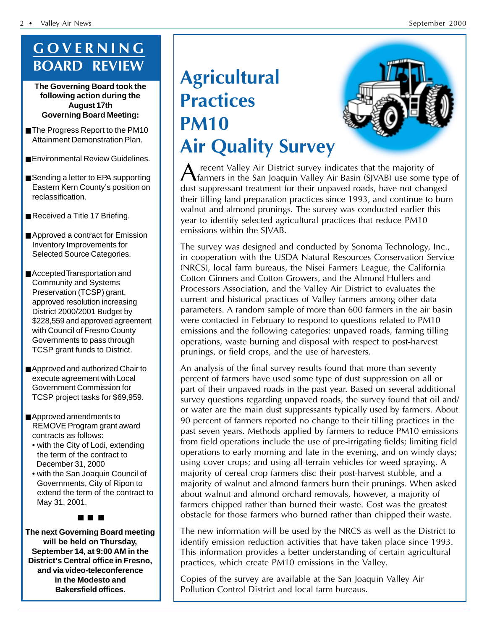#### **GOVERNING BOARD REVIEW**

**The Governing Board took the following action during the August 17th Governing Board Meeting:**

- The Progress Report to the PM10 Attainment Demonstration Plan.
- Environmental Review Guidelines.
- Sending a letter to EPA supporting Eastern Kern County's position on reclassification.
- Received a Title 17 Briefing.
- Approved a contract for Emission Inventory Improvements for Selected Source Categories.
- Accepted Transportation and Community and Systems Preservation (TCSP) grant, approved resolution increasing District 2000/2001 Budget by \$228,559 and approved agreement with Council of Fresno County Governments to pass through TCSP grant funds to District.
- Approved and authorized Chair to execute agreement with Local Government Commission for TCSP project tasks for \$69,959.
- Approved amendments to REMOVE Program grant award contracts as follows:
	- with the City of Lodi, extending the term of the contract to • December 31, 2000
	- with the San Joaquin Council of • Governments, City of Ripon to extend the term of the contract to • May 31, 2001.

■ ■ ■

**The next Governing Board meeting will be held on Thursday, September 14, at 9:00 AM in the District's Central office in Fresno, and via video-teleconference in the Modesto and Bakersfield offices.**

## **Agricultural Practices PM10 Air Quality Survey**



A recent Valley Air District survey indicates that the majority of<br>farmers in the San Joaquin Valley Air Basin (SJVAB) use some t farmers in the San Joaquin Valley Air Basin (SJVAB) use some type of dust suppressant treatment for their unpaved roads, have not changed their tilling land preparation practices since 1993, and continue to burn walnut and almond prunings. The survey was conducted earlier this year to identify selected agricultural practices that reduce PM10 emissions within the SJVAB.

The survey was designed and conducted by Sonoma Technology, Inc., in cooperation with the USDA Natural Resources Conservation Service (NRCS), local farm bureaus, the Nisei Farmers League, the California Cotton Ginners and Cotton Growers, and the Almond Hullers and Processors Association, and the Valley Air District to evaluates the current and historical practices of Valley farmers among other data parameters. A random sample of more than 600 farmers in the air basin were contacted in February to respond to questions related to PM10 emissions and the following categories: unpaved roads, farming tilling operations, waste burning and disposal with respect to post-harvest prunings, or field crops, and the use of harvesters.

An analysis of the final survey results found that more than seventy percent of farmers have used some type of dust suppression on all or part of their unpaved roads in the past year. Based on several additional survey questions regarding unpaved roads, the survey found that oil and/ or water are the main dust suppressants typically used by farmers. About 90 percent of farmers reported no change to their tilling practices in the past seven years. Methods applied by farmers to reduce PM10 emissions from field operations include the use of pre-irrigating fields; limiting field operations to early morning and late in the evening, and on windy days; using cover crops; and using all-terrain vehicles for weed spraying. A majority of cereal crop farmers disc their post-harvest stubble, and a majority of walnut and almond farmers burn their prunings. When asked about walnut and almond orchard removals, however, a majority of farmers chipped rather than burned their waste. Cost was the greatest obstacle for those farmers who burned rather than chipped their waste.

The new information will be used by the NRCS as well as the District to identify emission reduction activities that have taken place since 1993. This information provides a better understanding of certain agricultural practices, which create PM10 emissions in the Valley.

Copies of the survey are available at the San Joaquin Valley Air Pollution Control District and local farm bureaus.